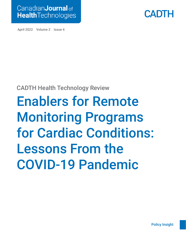



April 2022 Volume 2 Issue 4

### CADTH Health Technology Review

# Enablers for Remote Monitoring Programs for Cardiac Conditions: Lessons From the COVID-19 Pandemic

[Policy Insight](#page-3-0)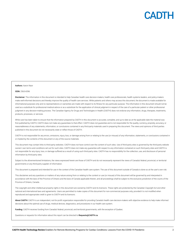

#### Authors: Aaron Naor

#### ISSN: 2563-6596

Disclaimer: The information in this document is intended to help Canadian health care decision-makers, health care professionals, health systems leaders, and policy-makers make well-informed decisions and thereby improve the quality of health care services. While patients and others may access this document, the document is made available for informational purposes only and no representations or warranties are made with respect to its fitness for any particular purpose. The information in this document should not be used as a substitute for professional medical advice or as a substitute for the application of clinical judgment in respect of the care of a particular patient or other professional judgment in any decision-making process. The Canadian Agency for Drugs and Technologies in Health (CADTH) does not endorse any information, drugs, therapies, treatments, products, processes, or services.

While care has been taken to ensure that the information prepared by CADTH in this document is accurate, complete, and up to date as at the applicable date the material was first published by CADTH, CADTH does not make any guarantees to that effect. CADTH does not guarantee and is not responsible for the quality, currency, propriety, accuracy, or reasonableness of any statements, information, or conclusions contained in any third-party materials used in preparing this document. The views and opinions of third parties published in this document do not necessarily state or reflect those of CADTH.

CADTH is not responsible for any errors, omissions, injury, loss, or damage arising from or relating to the use (or misuse) of any information, statements, or conclusions contained in or implied by the contents of this document or any of the source materials.

This document may contain links to third-party websites. CADTH does not have control over the content of such sites. Use of third-party sites is governed by the third-party website owners' own terms and conditions set out for such sites. CADTH does not make any guarantee with respect to any information contained on such third-party sites and CADTH is not responsible for any injury, loss, or damage suffered as a result of using such third-party sites. CADTH has no responsibility for the collection, use, and disclosure of personal information by third-party sites.

Subject to the aforementioned limitations, the views expressed herein are those of CADTH and do not necessarily represent the views of Canada's federal, provincial, or territorial governments or any third-party supplier of information.

This document is prepared and intended for use in the context of the Canadian health care system. The use of this document outside of Canada is done so at the user's own risk.

This disclaimer and any questions or matters of any nature arising from or relating to the content or use (or misuse) of this document will be governed by and interpreted in accordance with the laws of the Province of Ontario and the laws of Canada applicable therein, and all proceedings shall be subject to the exclusive jurisdiction of the courts of the Province of Ontario, Canada.

The copyright and other intellectual property rights in this document are owned by CADTH and its licensors. These rights are protected by the Canadian *Copyright Act* and other national and international laws and agreements. Users are permitted to make copies of this document for non-commercial purposes only, provided it is not modified when reproduced and appropriate credit is given to CADTH and its licensors.

About CADTH: CADTH is an independent, not-for-profit organization responsible for providing Canada's health care decision-makers with objective evidence to help make informed decisions about the optimal use of drugs, medical devices, diagnostics, and procedures in our health care system.

Funding: CADTH receives funding from Canada's federal, provincial, and territorial governments, with the exception of Quebec.

Questions or requests for information about this report can be directed to Requests@CADTH.ca.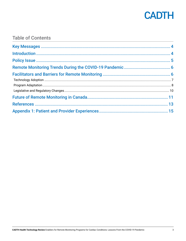

### **Table of Contents**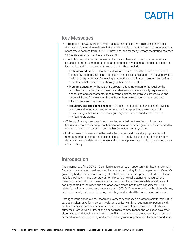### <span id="page-3-0"></span>Key Messages

- Throughout the COVID-19 pandemic, Canada's health care system has experienced a dramatic shift toward virtual care. Patients with cardiac conditions are at an increased risk of adverse outcomes from COVID-19 infections, and for many, remote monitoring has been viewed as a safer form of health care delivery.
- This Policy Insight summarizes key facilitators and barriers to the implementation and expansion of remote monitoring programs for patients with cardiac conditions based on lessons learned during the COVID-19 pandemic. These include:
	- Technology adoption  $-$  Health care decision-makers should be aware of barriers to technology adoption, including both patient and clinician hesitation and varying levels of health and digital literacy. Developing an effective education program to train staff and patients can help overcome technological barriers to adoption.
	- **Program adaptation**  $-$  Transitioning programs to remote monitoring requires the consideration of a programs' operational elements, such as eligibility requirements, onboarding and assessments, appointment logistics, program equipment, roles and responsibilities of clinicians and staff, health human resource planning, and data infrastructure and management.
	- Regulatory and legislative changes Policies that support enhanced interprovincial licensure and reimbursement for remote monitoring services are examples of policy changes that would foster a regulatory environment conducive to remote monitoring programs.
- While significant government investment has enabled the transition to virtual care (including remote monitoring), continued coordination between governments is needed to enhance the adoption of virtual care within Canadian health systems.
- Further research is needed on the cost-effectiveness and clinical appropriateness of remote monitoring across cardiac conditions. This analysis can support health system decision-makers in determining when and how to apply remote monitoring services safely and effectively.

### Introduction

The emergence of the COVID-19 pandemic has created an opportunity for health systems in Canada to re-evaluate virtual services like remote monitoring. During the pandemic, Canada's governing bodies implemented stringent restrictions to limit the spread of COVID-19. These included lockdown measures, stay-at-home orders, physical distancing measures, and maximum capacity limits. These restrictions also resulted in the cancellation and delay of non-urgent medical activities and operations to increase health care capacity for COVID-19– related care. Many patients and caregivers with COVID-19 were forced to self-isolate at home, in the community, or in cohort settings, which great disturbed their access to health care.

Throughout the pandemic, the health care system experienced a dramatic shift toward virtual care as an alternative for in-person health care delivery and management for patients with acute and chronic cardiac conditions. These patients are at an increased risk of adverse outcomes from COVID-19 infections, and for many, remote monitoring was seen as a safer alternative to traditional health care delivery.<sup>[1,](#page-12-1)[2](#page-12-2)</sup> Since the onset of the pandemic, interest and demand for remote monitoring and remote management of patients with cardiac conditions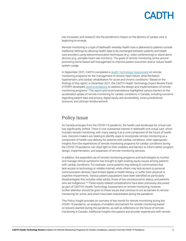<span id="page-4-0"></span>has increased, and research into the pandemic's impact on the delivery of cardiac care is beginning to emerge.

Remote monitoring is a type of telehealth whereby health care is delivered to patients outside traditional settings by allowing health data to be exchanged between patients and health care providers using telecommunication techniques (e.g., video conferencing) or stand-alone devices (e.g., portable heart rate monitors). The goals of remote monitoring centre around promoting home-based self-management to improve patient outcomes and/or reduce health system usage.

In September 2021, CADTH completed a [Health Technology Assessment](https://www.cadth.ca/sites/default/files/attachments/2021-12/OP0549-RM%20for%20Cardiac%20Conditions%20Final-meta_0.pdf) on remote monitoring programs for the management of chronic heart failure, atrial fibrillation, hypertension, and cardiac rehabilitation for acute and chronic conditions.<sup>[3](#page-12-3)</sup> Based on the findings of this report, in December 2021, the CADTH Health Technology Expert Review Panel (HTERP) developed [recommendations](https://www.cadth.ca/sites/default/files/attachments/2021-11/OP0549%20-%20Remote%20Monitoring%20-%20Recommendations%20v7.1-meta_0.pdf) to address the design and implementation of remote monitoring programs.[4](#page-12-4) The report and recommendations highlighted various barriers to the accelerated uptake of remote monitoring for cardiac conditions in Canada, including concerns regarding patient data and privacy, digital equity and accessibility, cross-jurisdictional licensure, and clinician reimbursement.

### Policy Issue

As Canada emerges from the COVID-19 pandemic, the health care landscape for virtual care has significantly shifted. There is now substantial interest in telehealth and virtual care, which includes remote monitoring, with many seeing it as a core component of the future of health care. Decision-makers are looking to identify ways to incorporate remote monitoring as a component of health care delivery for patients with cardiac conditions, when appropriate. Insights from the experiences of remote monitoring programs for cardiac conditions during the COVID-19 pandemic can shed light on their enablers and barriers to inform better program design, implementation, and expansion of remote monitoring services.

In addition, the expanded use of remote monitoring programs and technologies to monitor and manage clinical symptoms has brought to light existing equity issues among patients with cardiac conditions. For example, some patients may belong to communities that lack access to technology or reliable internet, while others may lack access to personal communication devices, have limited digital or health literacy, or suffer from physical or cognitive impairments. Various patient populations have been identified as particularly disadvantaged; this includes older adults, those of low socioeconomic status, and patients who are Indigenous.<sup>[5,](#page-12-5)[6](#page-12-6)</sup> These equity-related considerations have been previously discussed as part of CADTH's Health Technology Assessment on remote monitoring; however, further attention should be given to these issues that continue to act as barriers to remote monitoring for some, and which have been exacerbated during the pandemic.

This Policy Insight provides an overview of key trends for remote monitoring during the COVID-19 pandemic, an analysis of enablers and barriers for remote monitoring based on lessons learned during the pandemic, as well as reflections on the future of remote monitoring in Canada. Additional insights into patient and provider experiences with remote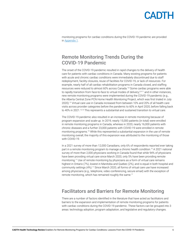

<span id="page-5-0"></span>monitoring programs for cardiac conditions during the COVID-19 pandemic are provided in [Appendix 1.](#page-14-1)

### Remote Monitoring Trends During the COVID-19 Pandemic

The onset of the COVID-19 pandemic resulted in rapid changes to the delivery of health care for patients with cardiac conditions in Canada. Many existing programs for patients with acute and chronic cardiac conditions were immediately discontinued due to staff redeployment, facility closures, reuse of facilities for COVID-19, or lack of resources. For example, nearly half of all cardiac rehabilitation programs in Canada closed, and staffing resources were reduced to almost 60% across Canada.<sup>7[,8](#page-12-8)</sup> Some cardiac programs were able to rapidly transition from face-to-face to virtual modes of delivery;<sup>2[,9](#page-12-9)-[11](#page-12-10)</sup> and in other instances, new remote monitoring programs were implemented during the COVID-19 pandemic (e.g., the Alberta Central Zone PCN Home Health Monitoring Project, which was first trialed in July 2020).[12](#page-12-11) Virtual care use in Canada increased from between 10% and 20% of all health care visits across provider categories before the pandemic to 60% in April 2020, before falling back to 40% in 2021.<sup>[13,](#page-12-12)[14](#page-12-13)</sup> This represents a substantial and sustained transition to virtual care.

The COVID-19 pandemic also resulted in an increase in remote monitoring because of program expansion and scale-up. In 2019, nearly 15,000 patients (in total) were enrolled in remote monitoring programs in Canada, whereas in 2020, nearly 16,000 patients with chronic diseases and a further 23,000 patients with COVID-19 were enrolled in remote monitoring programs.[15](#page-12-14) While this represented a substantial expansion in the use of remote monitoring overall, the majority of this expansion was attributed to the monitoring of those with COVID-19.

In a 2021 survey of more than 12,000 Canadians, only 6% of respondents reported ever taking part in a remote monitoring program to manage a chronic health condition.[16](#page-12-15) A 2021 national survey of more than 2,000 physicians working in Canada found that while 94% of physicians have been providing virtual care since March 2020, only 5% have been providing remote monitoring.[17](#page-12-16) Use of remote monitoring by physicians as a form of virtual care remains highest in Ontario (7%), lowest in Manitoba and Quebec (2%), and is equal in both hospital and community settings (4%).<sup>17</sup> Since March 2020, all forms of virtual care use have increased among physicians (e.g., telephone, video conferencing, secure email) with the exception of remote monitoring, which has remained roughly the same.<sup>17</sup>

### Facilitators and Barriers for Remote Monitoring

There are a number of factors identified in the literature that have acted as facilitators and barriers to the expansion and implementation of remote monitoring programs for patients with cardiac conditions during the COVID-19 pandemic. These factors can be grouped into 3 areas: technology adoption, program adaptation, and legislative and regulatory changes.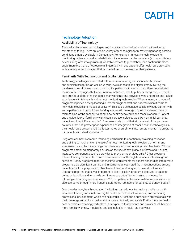#### <span id="page-6-0"></span>Technology Adoption

#### Availability of Technology

The availability of new technologies and innovations has helped enable the transition to remote monitoring. There are a wide variety of technologies for remotely monitoring cardiac conditions that are available in Canada now. For example, innovative technologies for monitoring patients in cardiac rehabilitation include new cardiac monitors (e.g., auscultatory devices integrated into garments), wearable devices (e.g., watches), and continuous blood sugar monitors that do not require a fingerstick.<sup>[18](#page-12-17)</sup> These options offer health care providers with a variety of technologies that can be tailored to the needs of their patients.

#### Familiarity With Technology and Digital Literacy

Technology challenges associated with remote monitoring can include both patient and clinician hesitation, as well as varying levels of health and digital literacy. During the pandemic, the shift to remote monitoring for patients with cardiac conditions necessitated the use of technologies that were, in many instances, new to patients, caregivers, and health care providers. Before the pandemic, many patients and providers were unfamiliar and lacked experience with telehealth and remote monitoring technologies;<sup>19,20</sup> as a result, a number of programs reported a steep learning curve for program staff and patients when it came to new technologies and modes of delivery.<sup>[9](#page-12-9)</sup> This could be considered a knowledge barrier, with some patients and practitioners lacking adequate knowledge of the clinical usefulness of telemedicine, or the capacity to adopt new health behaviours and models of care.<sup>21</sup> Patient and provider lack of familiarity with virtual care technologies was likely an initial barrier to patient enrolment. For example, 1 European study found that at the onset of the pandemic, countries that had greater prior experience and integration of mobile health technologies in their health care systems had the fastest rates of enrolment into remote monitoring programs for patients with atrial fibrillation.<sup>[10](#page-12-21)</sup>

Programs can best overcome technological barriers to adoption by providing education and training components on the use of remote monitoring technologies, platforms, and assessments, and by maintaining open channels for communication and feedback.<sup>7[,9](#page-12-9)</sup> Some programs employed mandatory courses on the use of new digital platforms and included interactive components such as provider-to-provider mock video calls.<sup>[9](#page-12-9)</sup> Other programs offered training for patients in one-on-one sessions or through less labour-intensive group sessions.<sup>[8](#page-12-8)</sup> Many programs reported the time requirements for patient onboarding into remote programs as a significant barrier, and in some instances noted that misconceptions among patients about the purpose and objectives of telemonitoring led to hesitation to enrol[.11](#page-12-10) Programs reported that it was important to clearly explain program objectives to patients during onboarding and to provide continuous opportunities for training and education following onboarding and assessment.<sup>[11,](#page-12-10)[22](#page-12-22)</sup> Low patient adherence to data transmission was also overcome through more frequent, automated reminders for patients to transmit data.<sup>23</sup>

On a broader level, health education institutions can address technology challenges with increased training on virtual care, digital health embedded into curricula, and continuing professional development, which can help equip current and future health professionals with the knowledge and skills to deliver virtual care effectively and safely. Furthermore, as health care becomes increasingly virtualized, it is expected that patients and providers will become more familiar with new modalities and technologies in health care services.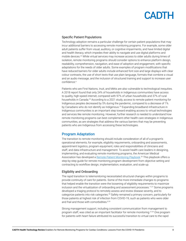#### <span id="page-7-0"></span>Specific Patient Populations

Technology adoption remains a particular challenge for certain patient populations that may incur additional barriers to accessing remote monitoring programs. For example, some older adult patients suffer from visual, auditory, or cognitive impairments, and have limited digital and health literacy, which impedes their ability to navigate and use digital platforms and mobile devices[.23](#page-12-23) While virtual services may increase access to older adults during times of isolation, remote monitoring programs should consider options to enhance platform design, readability, comprehension, navigation, and ease of adoption and engagement, with specific adaptations for the needs of older adults. Some examples of program modifications that have reduced barriers for older adults include enhanced font size and large displays with clear colour contrasts, the use of short texts that use plain language, formats that combine a visual and an audio message, and the inclusion of structured training and support to increase user confidence.<sup>[6](#page-12-6)</sup>

Patients who are First Nations, Inuit, and Métis are also vulnerable to technological inequities. A 2018 report found that only 24% of households in Indigenous communities have access to quality, high-speed internet, compared with 97% of urban households and 37% of rural households in Canada[.24](#page-12-24) According to a 2021 study, access to remote patient monitoring for Indigenous peoples decreased by 5% during the pandemic, compared to a decrease of 1% by Canadians who do not identify as Indigenous.<sup>25</sup> Expanding broadband infrastructure in Indigenous communities is an important step toward enabling access to virtual technologies and services like remote monitoring. However, further research is needed to understand how remote monitoring programs can best complement other health care strategies in Indigenous communities, as are strategies that address the various barriers that may be preventing patients who are Indigenous from accessing these technologies.

#### Program Adaptation

The transition to remote monitoring should include consideration of all of a program's operational elements; for example, eligibility requirements, onboarding and assessments, appointment logistics, program equipment, roles and responsibilities of clinicians and staff, and data infrastructure and management. To assist health care leaders in designing, implementing, and evaluating remote monitoring programs, the American Medical Association has developed a [Remote Patient Monitoring Playbook.](https://www.ama-assn.org/practice-management/digital/remote-patient-monitoring-implementation-playbook-overview) [26](#page-13-0) This playbook offers a step-by-step guide for remote monitoring program development from objective setting and contracting to workflow design, implementation, evaluation, and scale-up.

#### Eligibility and Onboarding

The rapid transition to telemonitoring necessitated structural changes within programs to provide continuity of care for patients. Some of the more immediate changes to programs that helped enable the transition were the loosening of eligibility requirements to maximize inclusion and the virtualization of onboarding and assessment processes.<sup>[11](#page-12-10),27</sup> Some programs developed a triaging protocol to remotely assess and review disease severity, and to categorize patients into risk categories.<sup>[28](#page-13-2)</sup> Safety remained a primary concern, particularly for those patients at highest risk of infection from COVID-19, such as patients who were older and frail and those with comorbidities.<sup>8[,18](#page-12-17)</sup>

Strong management support, including consistent communication from management to program staff, was cited as an important facilitator for remote monitoring.<sup>[27](#page-13-1)[,29](#page-13-3)</sup> One program for patients with heart failure attributed its successful transition to virtual care to the rapid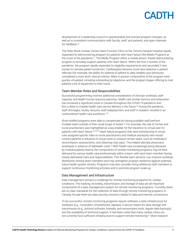development of a leadership council to operationalize and oversee program changes, as well as to consistent communication with faculty, staff, and patients, and open channels for feedback[.29](#page-13-3)

The Peter Munk Cardiac Centre Heart Function Clinic at the Toronto General Hospital rapidly expanded its telemonitoring program for patients with heart failure (the Medly Program) at the onset of the pandemic.<sup>[11](#page-12-10)</sup> The Medly Program offers a mobile phone-based telemonitoring program to remotely support patients with heart failure. Within the first 2 months of the pandemic, the program rapidly expanded its eligibility requirements and seconded 2 new nurses to oversee patient enrolment. Cardiologists became much less selective in patient referrals (for example, the ability for patients to adhere to daily weights was previously considered a more strict clinical criteria). Many in-person components of the program were quickly virtualized, including onboarding by telephone, and the program began offering to mail patients a kit of equipment to their home.

#### Team Member Roles and Responsibilities

Successful programming involves additional consideration of clinician workload, staff capacity, and health human resource planning. Health care worker burnout and exhaustion has remained a significant issue in Canada throughout the COVID-19 pandemic and this is likely to impede health care service delivery in the future.<sup>30</sup> During the pandemic, staff shortages, facility closures, staff redeployment, and staff in isolation resulted in an overburdened health care workforce.<sup>7[,20](#page-12-19)</sup>

Short-staffed programs were able to compensate by having available staff perform multiple tasks outside of their usual scope of duties.<sup>20</sup> For example, the role of nurses and nurse practitioners was highlighted as a key enabler for the transition to virtual care for patients with heart failure.<sup>[2,](#page-12-2)[9](#page-12-9)[,28](#page-13-2)[,29](#page-13-3)</sup> Heart failure programs that were transitioning to virtual care assigned specific roles to nurse practitioners and medical assistants who would contact patients in advance of virtual visits to conduct certain tasks, such as medication reconciliation, assessments, and obtaining vital signs. This helped alleviate physicians' workloads in advance of telehealth visits.<sup>29</sup> With health care increasingly being delivered by multidisciplinary teams, the components of remote monitoring programs may be best delivered by various health care professionals within a team, with each team member having clearly delineated roles and responsibilities. This flexible team dynamic can improve workload distribution among team members and may strengthen program resilience against potential future health system shocks. Programs may also consider hiring additional staff members to support continuous monitoring activities and to promote program scale-up.

#### Data Management and Infrastructure

Data management remains a challenge for remote monitoring programs for cardiac conditions. The tracking, recording, transmission, and storage of data are all important components of a data management system for remote monitoring programs. Currently, there are no clear standards for the collection of data through remote monitoring programs in Canada, though there are data security concerns related to data and internet connections.

To be successful, remote monitoring programs require software, a data infrastructure for hardware (e.g., computers, smartphones, laptops), a secure means for data storage and transmission (e.g., antiviral software, firewalls, anti-ransomware tools, regular data backups), and the availability of technical support. It has been noted that many cardiac clinics do not currently have sufficient infrastructure to support remote monitoring.<sup>31</sup> More research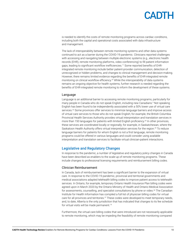<span id="page-9-0"></span>is needed to identify the costs of remote monitoring programs across cardiac conditions, including both the capital and operational costs associated with data infrastructure and management.

The lack of interoperability between remote monitoring systems and other data systems continued to act as a barrier during the COVID-19 pandemic. Clinicians reported challenges with accessing and navigating between multiple electronic systems (e.g., electronic health records (EHR), remote monitoring platforms, video conferencing) to fill patient information gaps, leading to significant workflow inefficiencies.[11](#page-12-10) Some reported benefits of EHRintegrated remote monitoring include better patient-provider communication, detection of unrecognized or hidden problems, and changes to clinical management and decision-making. However, there remains limited evidence regarding the benefits of EHR-integrated remote monitoring on clinical workflow efficiency.<sup>[32](#page-13-6)</sup> While the interoperability of data systems remains an ongoing objective for health systems, further research is needed regarding the benefits of EHR-integrated remote monitoring to inform the development of these systems.

#### Language

Language is an additional barrier to accessing remote monitoring programs, particularly for many people in Canada who do not speak English, including new Canadians.[5](#page-12-5) Not speaking English has been found to be independently associated with a 50% lower use of virtual care services.<sup>33</sup> Some provinces offer services to minimize language barriers and improve access of virtual care services to those who do not speak English; for example, the British Columbia Provincial Health Services Authority provides virtual interpretation and translation services in more than 150 languages for patients with limited English proficiency.<sup>[34](#page-13-8)</sup> In other provinces, these services are coordinated locally or regionally; for example, in Saskatchewan, where the Saskatoon Health Authority offers virtual interpretation services for the region.<sup>35</sup> To reduce language barriers for patients for whom English is not a first language, remote monitoring programs could be offered in various languages and could consider using available interpretation and translation services to facilitate virtual clinician-patient interactions.

#### Legislative and Regulatory Changes

In response to the pandemic, a number of legislative and regulatory policy changes in Canada have been described as enablers to the scale-up of remote monitoring programs. These include changes to professional licensing requirements and reimbursement billing codes.

#### Clinician Reimbursement

In Canada, lack of reimbursement has been a significant barrier to the expansion of virtual care. In response to the COVID-19 pandemic, provincial and territorial governments and medical associations adapted telehealth billing codes to improve patient access to telehealth services. In Ontario, for example, temporary Ontario Health Insurance Plan billing codes were agreed upon in March 2020 by the Ontario Ministry of Health and Ontario Medical Association for assessments, counselling, and specialist consultations by phone or video.<sup>[36](#page-13-10)</sup> The Canadian Institute for Health Information has compiled a full list of physician billing codes for virtual care for all provinces and territories.<sup>37</sup> These codes were developed to meet temporary needs, and, to date, Alberta is the only jurisdiction that has indicated that changes to its fee schedule for virtual visits will be made permanent.<sup>14</sup>

Furthermore, the virtual care billing codes that were introduced are not necessarily applicable to remote monitoring, which may be impeding the feasibility of remote monitoring compared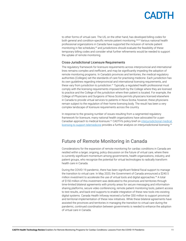<span id="page-10-0"></span>to other forms of virtual care. The US, on the other hand, has developed billing codes for both general and condition-specific remote patient monitoring.<sup>[38,](#page-13-12)39</sup> Various national health professional organizations in Canada have supported the inclusion of remote patient monitoring in fee schedules,<sup>40</sup> and jurisdictions should evaluate the feasibility of these temporary billing codes and consider what further refinements would be needed to support the uptake of remote monitoring.

#### Cross-Jurisdictional Licensure Requirements

The regulatory framework for licensure requirements across interprovincial and international lines remains complex and inefficient, and may be significantly impeding the adoption of remote monitoring programs. In Canada's provinces and territories, the medical regulatory authorities (Colleges) set the standards of care for practising medicine. Each jurisdiction has its own guidelines regarding interprovincial and international licensing requirements, and these vary from jurisdiction to jurisdiction.<sup>41</sup> Typically, a regulated health professional must comply with the licensing requirements imposed both by the College where they are licensed to practice and the College of the jurisdiction where their patient is located. For example, the College of Physicians and Surgeons of Nova Scotia permits physicians licensed elsewhere in Canada to provide virtual services to patients in Nova Scotia; however, these physicians remain subject to the regulation of their home licensing body. The result has been a very complex landscape of licensure requirements across the country.

In response to the growing number of issues resulting from a segmented regulatory framework for licensure, many national health organizations have advocated for a pan-Canadian approach to medical licensure.<sup>42</sup> CADTH's policy brief on interjurisdictional medical [licensing to support telemedicine](https://www.cadth.ca/sites/default/files/hta-he/cadth-policy-brief-interjurisdictional-licensing-final.pdf) provides a further analysis on interjurisdictional licensing.<sup>43</sup>

### Future of Remote Monitoring in Canada

Considerations for the expansion of remote monitoring for cardiac conditions in Canada are nestled within a larger, ongoing, policy discussion on the future of virtual care, where there is currently significant momentum among governments, health organizations, industry, and patient groups, who recognize the potential for virtual technologies to radically transform health care in Canada.

During the COVID-19 pandemic, there has been significant federal fiscal support to manage the transition to virtual care. In May 2020, the Government of Canada announced a \$240.5 million investment to accelerate the use of virtual tools and digital approaches.<sup>44</sup> A total of \$150 million of this investment was dedicated to the provinces and territories through time-limited bilateral agreements with priority areas for secure messaging and informationsharing platforms, secure video conferencing, remote patient monitoring tools, patient access to test results, and back-end supports to enable integration of these new tools into existing digital systems. Canada Health Infoway received a further \$50 million to support provincial and territorial implementation of these new initiatives. While these bilateral agreements have assisted the provinces and territories in managing the transition to virtual care during the pandemic, continued coordination between governments is needed to enhance the adoption of virtual care in Canada.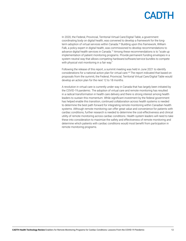In 2020, the Federal, Provincial, Territorial Virtual Care/Digital Table, a government coordinating body on digital health, was convened to develop a framework for the longterm adoption of virtual services within Canada.<sup>44</sup> Building upon this framework, William Falk, a policy expert in digital health, was commissioned to develop recommendations to advance digital health services in Canada.[15](#page-12-14) Among these recommendations is to "scale up implementation of patient monitoring programs. Provide permanent funding envelopes in a system neutral way that allows competing hardware/software/service bundles to compete with physical visit monitoring in a fair way."

Following the release of this report, a summit meeting was held in June 2021 to identify considerations for a national action plan for virtual care[.45](#page-13-19) The report indicated that based on proposals from the summit, the Federal, Provincial, Territorial Virtual Care/Digital Table would develop an action plan for the next 12 to 18 months.

A revolution in virtual care is currently under way in Canada that has largely been initiated by the COVID-19 pandemic. The adoption of virtual care and remote monitoring has resulted in a radical transformation in health care delivery and there is strong interest among health leaders to sustain this momentum. While significant investment by the federal government has helped enable this transition, continued collaboration across health systems is needed to determine the best path forward for integrating remote monitoring within Canadian health systems. Although remote monitoring can offer great value and convenience for patients with cardiac conditions, further research is needed to determine the cost-effectiveness and clinical utility of remote monitoring across cardiac conditions. Health system leaders will need to take these into consideration to maximize the safety and effectiveness of remote monitoring and determine which patients with cardiac conditions would most benefit from participation in remote monitoring programs.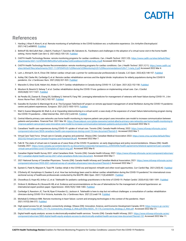### <span id="page-12-0"></span>References

- <span id="page-12-1"></span> 1. Harding I, Khan P, Alves K, et al. Remote monitoring of arrhythmias in the COVID lockdown era: a multicentre experience. *Circ Arrhythm Electrophysiol.* 2021;14(1):e008932. [PubMed](https://pubmed.ncbi.nlm.nih.gov/33441000)
- <span id="page-12-2"></span> 2. Birkhoff SD, McCulloh Nair J, Bald K, Frankum T, Sanchez SR, Salvatore AL. Facilitators and challenges in the adoption of a virtual nurse visit in the home health setting. Home Health Care Serv Q. 2021;40(2):105-120. [PubMed](https://pubmed.ncbi.nlm.nih.gov/33779522)
- <span id="page-12-3"></span> 3. CADTH Health Technology Review: remote monitoring programs for cardiac conditions. *Can J Health Technol.* 2021;1(9). [https://www.cadth.ca/sites/default/](https://www.cadth.ca/sites/default/files/attachments/2021-12/OP0549-RM%20for%20Cardiac%20Conditions%20Final-meta_0.pdf)files/ [attachments/2021-12/OP0549-RM%20for%20Cardiac%20Conditions%20Final-meta\\_0.pdf](https://www.cadth.ca/sites/default/files/attachments/2021-12/OP0549-RM%20for%20Cardiac%20Conditions%20Final-meta_0.pdf) Accessed 2022 Mar 12.
- <span id="page-12-4"></span> 4. CADTH Health Technology Review Recommendation: remote monitoring programs for cardiac conditions. *Can J Health Technol.* 2021;1(11). [https://www.cadth.ca/](https://www.cadth.ca/sites/default/files/attachments/2021-11/OP0549%20-%20Remote%20Monitoring%20-%20Recommendations%20v7.1-meta_0.pdf) sites/default/files/[attachments/2021-11/OP0549%20-%20Remote%20Monitoring%20-%20Recommendations%20v7.1-meta\\_0.pdf](https://www.cadth.ca/sites/default/files/attachments/2021-11/OP0549%20-%20Remote%20Monitoring%20-%20Recommendations%20v7.1-meta_0.pdf) Accessed 2022 Mar 4.
- <span id="page-12-5"></span>5. Lam J, Ahmad K, Gin K, Chow CM. Deliver cardiac virtual care: a primer for cardiovascular professionals in Canada. *CJC Open.* 2022;4(2):148-157. [PubMed](https://pubmed.ncbi.nlm.nih.gov/34661090)
- <span id="page-12-6"></span> 6. Astley CM, Clarke RA, Cartledge S, et al. Remote cardiac rehabilitation services and the digital divide: implications for elderly populations during the COVID19 pandemic. *Eur J Cardiovasc Nurs.* 2021;20(6):521-523. [PubMed](https://pubmed.ncbi.nlm.nih.gov/34056650)
- <span id="page-12-7"></span>7. Marzolini S, Ghisi GLM, Hebert AA, Ahden S, Oh P. Cardiac rehabilitation in Canada during COVID-19. *CJC Open.* 2021;3(2):152-158. [PubMed](https://pubmed.ncbi.nlm.nih.gov/33521613)
- <span id="page-12-8"></span> 8. Moulson N, Bewick D, Selway T, et al. Cardiac rehabilitation during the COVID-19 era: guidance on implementing virtual care. *Can J Cardiol.* 2020;36(8):1317-1321. [PubMed](https://pubmed.ncbi.nlm.nih.gov/32553606)
- <span id="page-12-9"></span> 9. de Peralta SS, Ziaeian B, Chang DS, Goldberg S, Vetrivel R, Fang YM. Leveraging telemedicine for management of veterans with heart failure during COVID-19. *J Am Assoc Nurse Pract.* 2021;34(1):182-187. [PubMed](https://pubmed.ncbi.nlm.nih.gov/33625164)
- <span id="page-12-21"></span>10. Gawalko M, Duncker D, Manninger M, et al. The European TeleCheck-AF project on remote app-based management of atrial fibrillation during the COVID-19 pandemic: centre and patient experiences. *Europace.* 2021;23(7):1003-1015. [PubMed](https://pubmed.ncbi.nlm.nih.gov/33822029)
- <span id="page-12-10"></span>11. Wali S, Guessi Margarido M, Shah A, et al. Expanding telemonitoring in a virtual world: a case study of the expansion of a heart failure telemonitoring program during the COVID-19 pandemic. *J Med Internet Res.* 2021;23(1):e26165. [PubMed](https://pubmed.ncbi.nlm.nih.gov/33444153)
- <span id="page-12-11"></span>12. Central Alberta primary care networks use home health monitoring to improve patient care project uses innovative care model to increase communication between patients and providers. *Financial Post.* 2021 Mar 30. https://financialpost[.com/globe-newswire/central-alberta-primary-care-networks-use-home-health-monitoring-to](https://financialpost.com/globe-newswire/central-alberta-primary-care-networks-use-home-health-monitoring-to-improve-patient-care-project-uses-innovative-care-model-to-increase-communication-between-patients-and-providers) [-improve-patient-care-project-uses-innovative-care-model-to-increase-communication-between-patients-and-providers](https://financialpost.com/globe-newswire/central-alberta-primary-care-networks-use-home-health-monitoring-to-improve-patient-care-project-uses-innovative-care-model-to-increase-communication-between-patients-and-providers) Accessed 2022 Mar 4.
- <span id="page-12-12"></span>13. Canadians' health care experiences during COVID-19: uptake of virtual care. Toronto (ON): Canada Health Infoway; 2022: [https://www.infoway-inforoute.ca/en/](https://www.infoway-inforoute.ca/en/component/edocman/3828-canadians-health-care-experiences-during-covid-19/view-document?Itemid=0) [component/edocman/3828-canadians-health-care-experiences-during-covid-19/view-document?Itemid=0](https://www.infoway-inforoute.ca/en/component/edocman/3828-canadians-health-care-experiences-during-covid-19/view-document?Itemid=0). Accessed 2022 Mar 7.
- <span id="page-12-13"></span>14. Virtual Care Task Force. Virtual care in Canada: progress and potential. Ottawa (ON): Canadian Medical Association 2022: [https://www.cma.ca/sites/default/](https://www.cma.ca/sites/default/files/2022-02/Virtual-Care-in-Canada-Progress-and-Potential-EN.pdf)files/ [2022-02/Virtual-Care-in-Canada-Progress-and-Potential-EN.pdf](https://www.cma.ca/sites/default/files/2022-02/Virtual-Care-in-Canada-Progress-and-Potential-EN.pdf). Accessed 2022 Mar 7.
- <span id="page-12-14"></span>15. Falk W. The state of virtual care in Canada as of wave three of the COVID-19 pandemic: an early diagnostique and policy recommendations. Ottawa (ON): Health Canada; 2021: [https://www.canada.ca/content/dam/hc-sc/documents/corporate/transparency\\_229055456/health-agreements/bilateral-agreement-pan-canadian](https://www.canada.ca/content/dam/hc-sc/documents/corporate/transparency_229055456/health-agreements/bilateral-agreement-pan-canadian-virtual-care-priorities-covid-19/template-wf-report-eng.pdf) [-virtual-care-priorities-covid-19/template-wf-report-eng.pdf.](https://www.canada.ca/content/dam/hc-sc/documents/corporate/transparency_229055456/health-agreements/bilateral-agreement-pan-canadian-virtual-care-priorities-covid-19/template-wf-report-eng.pdf) Accessed 2022 Mar 8.
- <span id="page-12-15"></span>16. Canadian Digital Health Survey 2021: what Canadians think. Toronto (ON): Canada Health Infoway; 2021: [https://www.infoway-inforoute.ca/en/component/edocman/](https://www.infoway-inforoute.ca/en/component/edocman/4011-canadian-digital-health-survey-2021-what-canadians-think/view-document) [4011-canadian-digital-health-survey-2021-what-canadians-think/view-document.](https://www.infoway-inforoute.ca/en/component/edocman/4011-canadian-digital-health-survey-2021-what-canadians-think/view-document) Accessed 2022 Mar 7.
- <span id="page-12-16"></span>17. 2021 National Survey of Canadian Physicians. Toronto (ON): Canada Health Infoway and Canadian Medical Association; 2021: [https://www.infoway-inforoute.ca/en/](https://www.infoway-inforoute.ca/en/component/edocman/3935-2021-national-survey-of-canadian-physicians/view-document?Itemid=0) [component/edocman/3935-2021-national-survey-of-canadian-physicians/view-document?Itemid=0](https://www.infoway-inforoute.ca/en/component/edocman/3935-2021-national-survey-of-canadian-physicians/view-document?Itemid=0) Accessed 2022 Mar 7.
- <span id="page-12-17"></span>18. Epstein E, Patel N, Maysent K, Taub PR. Cardiac rehab in the COVID era and beyond: mHealth and other novel opportunities. *Curr Cardiol Rep.* 2021;23(5):42. [PubMed](https://pubmed.ncbi.nlm.nih.gov/33704611)
- <span id="page-12-18"></span>19. O'Doherty AF, Humphreys H, Dawkes S, et al. How has technology been used to deliver cardiac rehabilitation during the COVID-19 pandemic? An international crosssectional survey of healthcare professionals conducted by the BACPR. *BMJ Open.* 2021;11(4):e046051. [PubMed](https://pubmed.ncbi.nlm.nih.gov/33879492)
- <span id="page-12-19"></span>20. Chowdhury D, Hope KD, Arthur LC, et al. Telehealth for pediatric cardiology practitioners in the time of COVID-19. *Pediatr Cardiol.* 2020;41(6):1081-1091. [PubMed](https://pubmed.ncbi.nlm.nih.gov/32656626)
- <span id="page-12-20"></span>21. Omboni S, McManus RJ, Bosworth HB, et al. Evidence and recommendations on the use of telemedicine for the management of arterial hypertension: an international expert position paper. Hypertension. 2020;76(5):1368-1383. [PubMed](https://pubmed.ncbi.nlm.nih.gov/32921195)
- <span id="page-12-22"></span>22. Cartledge S, Rawstorn JC, Tran M, Ryan P, Howden EJ, Jackson A. Telehealth is here to stay but not without challenges: a consultation of cardiac rehabilitation clinicians during COVID-19 in Victoria, Australia. *Eur J Cardiovasc Nurs.* 2021;22:zvab118. [PubMed](https://pubmed.ncbi.nlm.nih.gov/34935940)
- <span id="page-12-23"></span>23. Mohebali D, Kittleson MM. Remote monitoring in heart failure: current and emerging technologies in the context of the pandemic. *Heart.* 2021;107(5):366-372. [PubMed](https://pubmed.ncbi.nlm.nih.gov/33431425)
- <span id="page-12-24"></span>24. High-speed access for all: Canada's connectivity strategy. Ottawa (ON): Innovation, Science, and Economic Development Canada; 2019: [https://www.ic.gc.ca/eic/](https://www.ic.gc.ca/eic/site/139.nsf/vwapj/ISEDC_19-170_Connectivity_Strategy_E_Web.pdf/$file/ISEDC_19-170_Connectivity_Strategy_E_Web.pdf) [site/139.nsf/vwapj/ISEDC\\_19-170\\_Connectivity\\_Strategy\\_E\\_Web.pdf/](https://www.ic.gc.ca/eic/site/139.nsf/vwapj/ISEDC_19-170_Connectivity_Strategy_E_Web.pdf/$file/ISEDC_19-170_Connectivity_Strategy_E_Web.pdf)\$file/ISEDC\_19-170\_Connectivity\_Strategy\_E\_Web.pdf. Accessed 2022 Mar 31.
- <span id="page-12-25"></span>25. Digital health equity analysis: access to electronically-enabled health services. Toronto (ON): Canada Health Infoway; 2021: [https://www.infoway-inforoute.ca/en/](https://www.infoway-inforoute.ca/en/component/edocman/3883-digital-health-equity-analysis-access-to-electronically-enabled-health-services/view-document?Itemid=101) [component/edocman/3883-digital-health-equity-analysis-access-to-electronically-enabled-health-services/view-document?Itemid=101](https://www.infoway-inforoute.ca/en/component/edocman/3883-digital-health-equity-analysis-access-to-electronically-enabled-health-services/view-document?Itemid=101) Accessed 2022 Mar 11.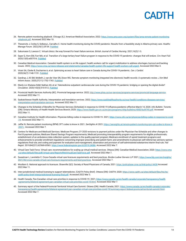## **ANIH**

- <span id="page-13-0"></span>26. Remote patient monitoring playbook. Chicago (IL): American Medical Association; 2022: [https://www.ama-assn.org/system/](https://www.ama-assn.org/system/files/ama-remote-patient-monitoring-playbook.pdf)files/ama-remote-patient-monitoring [-playbook.pdf](https://www.ama-assn.org/system/files/ama-remote-patient-monitoring-playbook.pdf). Accessed 2022 Mar 10.
- <span id="page-13-1"></span>27. Thesenvitz J, Corley S, Solberg L, Carvalho C. Home health monitoring during the COVID pandemic: Results from a feasibility study in Alberta primary care. *Healthc Manage Forum.* 2022;35(1):29-34. [PubMed](https://pubmed.ncbi.nlm.nih.gov/34615408)
- <span id="page-13-2"></span>28. Sukumaran S, Lawson C. Virtual clinics: the way forward for heart failure services. *British Journal of Cardiac Nursing.* 2021;16(3):1-3.
- <span id="page-13-3"></span>29. Sayer G, Horn EM, Farr MA, et al. Transition of a large tertiary heart failure program in response to the COVID-19 pandemic: changes that will endure. *Circ Heart Fail.* 2020;13(9):e007516. [PubMed](https://pubmed.ncbi.nlm.nih.gov/32894988)
- <span id="page-13-4"></span>30. Canadian Medical Association. Canada's health system is on life support: health workers call for urgent mobilization to address shortages, burnout and backlog issues. 2022; [https://www.cma.ca/news-releases-and-statements/canadas-health-system-life-support-health-workers-call-urgent.](https://www.cma.ca/news-releases-and-statements/canadas-health-system-life-support-health-workers-call-urgent) Accessed 2022 Mar 4.
- <span id="page-13-5"></span>31. Virani SA, Clarke B, Ducharme A, et al. Optimizing access to heart failure care in Canada during the COVID-19 pandemic. *Can J Cardiol.* 2020;36(7):1148-1151. [PubMed](https://pubmed.ncbi.nlm.nih.gov/32405146)
- <span id="page-13-6"></span>32. Gandrup J, Ali SM, McBeth J, van der Veer SN, Dixon WG. Remote symptom monitoring integrated into electronic health records: A systematic review. *J Am Med Inform Assoc.* 2020;27(11):1752-1763. [PubMed](https://pubmed.ncbi.nlm.nih.gov/32968785)
- <span id="page-13-7"></span>33. Eberly LA, Khatana SAM, Nathan AS, et al. Telemedicine outpatient cardiovascular care during the COVID-19 pandemic: bridging or opening the digital divide? *Circulation.* 2020;142(5):510-512. [PubMed](https://pubmed.ncbi.nlm.nih.gov/32510987)
- <span id="page-13-8"></span>34. Provincial Health Services Authority (BC). Provincial language service. 2022; [http://www.phsa.ca/our-services/programs-services/provincial-language-service.](http://www.phsa.ca/our-services/programs-services/provincial-language-service) Accessed 2022 Mar 11.
- <span id="page-13-9"></span>35. Saskatchewan Health Authority. Interpretation and translation services. 2022; [https://www.saskhealthauthority.ca/your-health/conditions-diseases-services/](https://www.saskhealthauthority.ca/your-health/conditions-diseases-services/interpretation-and-translation-services) [interpretation-and-translation-services](https://www.saskhealthauthority.ca/your-health/conditions-diseases-services/interpretation-and-translation-services). Accessed 2022 Mar 11.
- <span id="page-13-10"></span>36. Changes to the Schedule of Benefits for Physician Services (Schedule) in response to COVID-19 influenza pandemic effective March 14, 2020. *Info Bulletin*. Toronto (ON): Ontario Ministry of Health Health Services Branch; 2020: [https://www.health.gov.on.ca/en/pro/programs/ohip/bulletins/4000/bul4745.pdf.](https://www.health.gov.on.ca/en/pro/programs/ohip/bulletins/4000/bul4745.pdf) Accessed 2022 Mar 11.
- <span id="page-13-11"></span>37. Canadian Institute for Health Information. Physician billing codes in response to COVID-19. 2021; [https://www.cihi.ca/en/physician-billing-codes-in-response-to-covid](https://www.cihi.ca/en/physician-billing-codes-in-response-to-covid-19) [-19.](https://www.cihi.ca/en/physician-billing-codes-in-response-to-covid-19) Accessed 2022 Mar 11.
- <span id="page-13-12"></span>38. Jaffar N. Remote patient monitoring (RPM) CPT codes to know in 2021. *SenSights.AI* 2021; [https://sensights.ai/remote-patient-monitoring-rpm-cpt-codes-to-know-in](https://sensights.ai/remote-patient-monitoring-rpm-cpt-codes-to-know-in-2021/) [-2021/.](https://sensights.ai/remote-patient-monitoring-rpm-cpt-codes-to-know-in-2021/) Accessed 2022 Mar 7.
- <span id="page-13-13"></span>39. Centers for Medicare and Medicaid Services. Medicare Program; CY 2020 revisions to payment policies under the Physician Fee Schedule and other changes to Part B payment policies; Medicare Shared Savings Program requirements; Medicaid promoting interoperability program requirements for eligible professionals; establishment of an ambulance data collection system; updates to the quality payment program; Medicare enrollment of opioid treatment programs and enhancements to provider enrollment regulations concerning improper prescribing and patient harm; and amendments to physician self-referral law advisory opinion regulations final rule; and coding and payment for evaluation and management, observation and provision of self-administered esketamine interim final rule. *Fed Regist.* 2019;84(221):62568-63563. [https://www.federalregister.gov/d/2019-24086.](https://www.federalregister.gov/d/2019-24086) Accessed 2022 Mar 7.
- <span id="page-13-14"></span>40. Virtual Care Task Force. Virtual care: recommendations for scaling up virtual medical services. Ottawa (ON): Canadian Medical Association; 2020: [https://www.cma](https://www.cma.ca/sites/default/files/pdf/virtual-care/ReportoftheVirtualCareTaskForce.pdf) .ca/sites/default/files/[pdf/virtual-care/ReportoftheVirtualCareTaskForce.pdf](https://www.cma.ca/sites/default/files/pdf/virtual-care/ReportoftheVirtualCareTaskForce.pdf). Accessed 2022 Mar 7.
- <span id="page-13-15"></span>41. Sweatman L, Laviolette C. Cross-Canada virtual care licensure requirements and best practices. *Borden Ladner Gervais LLP* 2021; [https://www.blg.com/en/insights/](https://www.blg.com/en/insights/2021/06/cross-canada-virtual-care-licensure-requirements-and-best-practices) [2021/06/cross-canada-virtual-care-licensure-requirements-and-best-practices.](https://www.blg.com/en/insights/2021/06/cross-canada-virtual-care-licensure-requirements-and-best-practices) Accessed 2022 Mar 7.
- <span id="page-13-16"></span>42. Woollam G. National approach to licensure. Shawville (QC): Society of Rural Physicians of Canada; 2021:<https://policybase.cma.ca/link/policy14438>Accessed 2022 Mar 11.
- <span id="page-13-17"></span>43. Inter-jurisdictional medical licensing to support telemedicine. *(CADTH Policy Brief)*. Ottawa (ON): CADTH; 2020: [https://www.cadth.ca/sites/default/](https://www.cadth.ca/sites/default/files/hta-he/cadth-policy-brief-interjurisdictional-licensing-final.pdf)files/hta-he/ [cadth-policy-brief-interjurisdictional-licensing](https://www.cadth.ca/sites/default/files/hta-he/cadth-policy-brief-interjurisdictional-licensing-final.pdf)-final.pdf. Accessed 2022 Mar 3.
- <span id="page-13-18"></span>44. Health Canada. Pan-Canadian virtual care priorities in response to COVID-19. 2021; [https://www.canada.ca/en/health-canada/corporate/transparency/health](https://www.canada.ca/en/health-canada/corporate/transparency/health-agreements/bilateral-agreement-pan-canadian-virtual-care-priorities-covid-19.html) [-agreements/bilateral-agreement-pan-canadian-virtual-care-priorities-covid-19.html](https://www.canada.ca/en/health-canada/corporate/transparency/health-agreements/bilateral-agreement-pan-canadian-virtual-care-priorities-covid-19.html). Accessed 2022 Mar 7.
- <span id="page-13-19"></span>45. Summary report of the Federal-Provincial-Territorial Virtual Care Summit. Ottawa (ON): Health Canada; 2021: [https://www.canada.ca/en/health-canada/corporate/](https://www.canada.ca/en/health-canada/corporate/transparency/health-agreements/bilateral-agreement-pan-canadian-virtual-care-priorities-covid-19/summary-report-federal-provincial-territorial-summit.html) [transparency/health-agreements/bilateral-agreement-pan-canadian-virtual-care-priorities-covid-19/summary-report-federal-provincial-territorial-summit.html.](https://www.canada.ca/en/health-canada/corporate/transparency/health-agreements/bilateral-agreement-pan-canadian-virtual-care-priorities-covid-19/summary-report-federal-provincial-territorial-summit.html) Accessed 2022 Mar 7.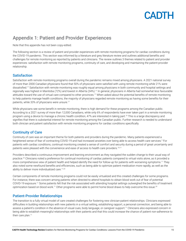### <span id="page-14-1"></span><span id="page-14-0"></span>Appendix 1: Patient and Provider Experiences

Note that this appendix has not been copy-edited.

The following section is a review of patient and provider experiences with remote monitoring programs for cardiac conditions during the COVID-19 pandemic. This section was informed by a literature and grey literature review and outlines additional benefits and challenges for remote monitoring as reported by patients and clinicians. The review outlines 3 themes related to patient and provider experiences: satisfaction with remote monitoring programs, continuity of care, and developing and maintaining the patient-provider relationship.

#### **Satisfaction**

Satisfaction with remote monitoring programs overall during the pandemic remains mixed among physicians. A 2021 national survey of more than 2000 Canadian physicians found that 50% of physicians were satisfied with using remote monitoring while 21% were dissatisfied.[17](#page-12-16) Satisfaction with remote monitoring was roughly equal among physicians in both community and hospital settings and regionally was highest in Manitoba (72%) and lowest in Alberta (34%).[17](#page-12-16) In general, physicians in Alberta had somewhat less favourable attitudes toward the use of virtual care compared to other provinces.[17](#page-12-16) When asked about the potential benefits of remote monitoring to help patients manage health conditions, the majority of physicians regarded remote monitoring as having some benefits for their patients, while 33% of physicians were unsure.<sup>[17](#page-12-16)</sup>

While physicians see some benefit in remote monitoring, there is high demand for these programs among the Canadian public. According to a 2021 survey of more than 12,000 Canadians, while only 6% of respondents have ever taken part in a remote monitoring program using a device to manage a chronic health condition, 47% are interested in taking part.<sup>16</sup> This is a large discrepancy and signifies that there is substantial interest for remote monitoring among the Canadian public. Further research is needed to understand both clinician and patient satisfaction with remote monitoring programs for cardiac conditions specifically.

#### Continuity of Care

Continuity of care was an important theme for both patients and providers during the pandemic. Many patients experienced a heightened sense of fear of contracting COVID-19 and had increased anxieties over being able to access health care services.<sup>2</sup> For patients with cardiac conditions, continual monitoring created a sense of comfort and security during a period of great uncertainty and patients were pleased with the convenience and ease of access to health care providers.[10](#page-12-21)[,11](#page-12-10)

Providers described a continuous improvement and learning environment as they navigated the sudden change to their usual way of practice.<sup>[22](#page-12-22)</sup> Clinicians noted a preference for continual monitoring of cardiac patients compared to virtual visits alone, as it provided a more comprehensive view of patient health and helped identify the need for follow-up for patients with worsening symptoms.[11](#page-12-10) They also noted some newfound benefits and efficiencies, such as being able to optimize patient medication more rapidly, as well as the ability to deliver more individualized care.<sup>[11](#page-12-10)[,22](#page-12-22)</sup>

Certain components of remote monitoring programs could not be easily virtualized and this created challenges for some programs. For instance, there was concern among patients when directed to attend hospitals to obtain blood work out of fear of potential COVID-19 exposure.[11](#page-12-10) Some patients felt that the risk associated with attending hospital settings outweighed the benefits of treatment optimization based on blood work.<sup>[11](#page-12-10)</sup> Other programs were able to permit home blood draws to help overcome this issue.<sup>[29](#page-13-3)</sup>

#### Patient-Provider Relationships

The transition to a fully virtual model of care created challenges for fostering new clinician-patient relationships. Clinicians expressed difficulties in building relationships with new patients in a virtual setting, establishing rapport, a personal connection, and being able to assess a patient's condition in the absence of visual cues, body language, or caregiver support.[11](#page-12-10) Clinicians also expressed concern in being able to establish meaningful relationships with their patients and that this could increase the chance of patient non-adherence to their care plan.<sup>[11](#page-12-10)</sup>